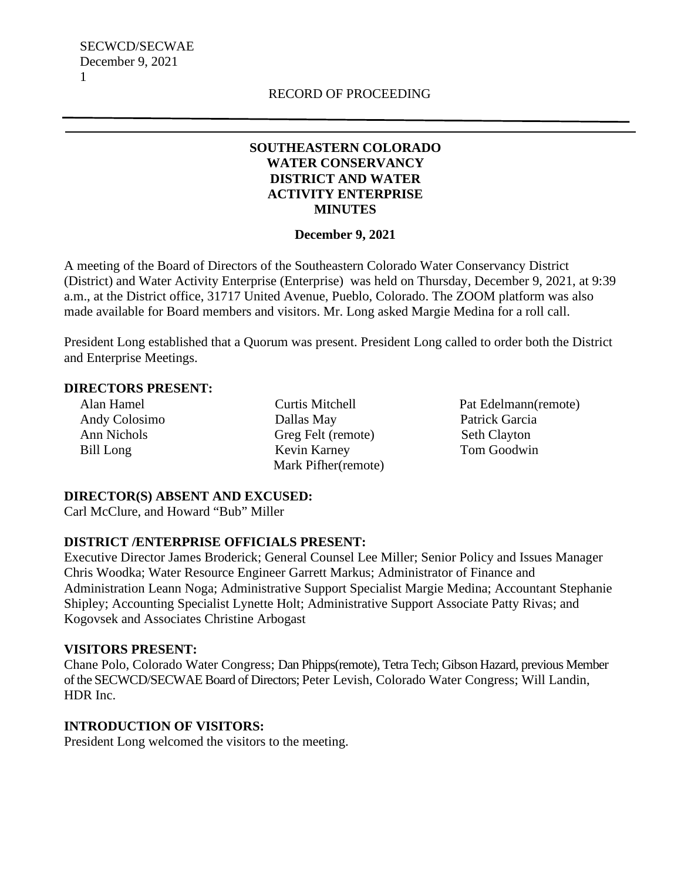SECWCD/SECWAE December 9, 2021 1

## **SOUTHEASTERN COLORADO WATER CONSERVANCY DISTRICT AND WATER ACTIVITY ENTERPRISE MINUTES**

#### **December 9, 2021**

A meeting of the Board of Directors of the Southeastern Colorado Water Conservancy District (District) and Water Activity Enterprise (Enterprise) was held on Thursday, December 9, 2021, at 9:39 a.m., at the District office, 31717 United Avenue, Pueblo, Colorado. The ZOOM platform was also made available for Board members and visitors. Mr. Long asked Margie Medina for a roll call.

President Long established that a Quorum was present. President Long called to order both the District and Enterprise Meetings.

#### **DIRECTORS PRESENT:**

 Alan Hamel Curtis Mitchell Pat Edelmann(remote) Andy Colosimo Dallas May Patrick Garcia Ann Nichols Greg Felt (remote) Seth Clayton Bill Long Kevin Karney Tom Goodwin Mark Pifher(remote)

### **DIRECTOR(S) ABSENT AND EXCUSED:**

Carl McClure, and Howard "Bub" Miller

### **DISTRICT /ENTERPRISE OFFICIALS PRESENT:**

Executive Director James Broderick; General Counsel Lee Miller; Senior Policy and Issues Manager Chris Woodka; Water Resource Engineer Garrett Markus; Administrator of Finance and Administration Leann Noga; Administrative Support Specialist Margie Medina; Accountant Stephanie Shipley; Accounting Specialist Lynette Holt; Administrative Support Associate Patty Rivas; and Kogovsek and Associates Christine Arbogast

#### **VISITORS PRESENT:**

Chane Polo, Colorado Water Congress; Dan Phipps(remote), Tetra Tech; Gibson Hazard, previous Member of the SECWCD/SECWAE Board of Directors; Peter Levish, Colorado Water Congress; Will Landin, HDR Inc.

### **INTRODUCTION OF VISITORS:**

President Long welcomed the visitors to the meeting.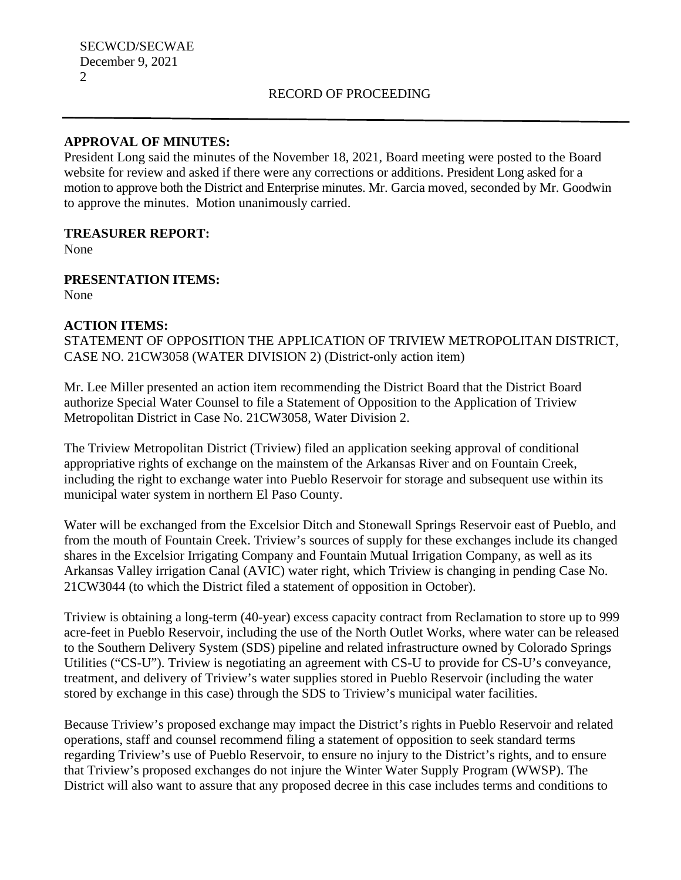# RECORD OF PROCEEDING

# **APPROVAL OF MINUTES:**

President Long said the minutes of the November 18, 2021, Board meeting were posted to the Board website for review and asked if there were any corrections or additions. President Long asked for a motion to approve both the District and Enterprise minutes. Mr. Garcia moved, seconded by Mr. Goodwin to approve the minutes. Motion unanimously carried.

### **TREASURER REPORT:**

None

**PRESENTATION ITEMS:** None

# **ACTION ITEMS:**

STATEMENT OF OPPOSITION THE APPLICATION OF TRIVIEW METROPOLITAN DISTRICT, CASE NO. 21CW3058 (WATER DIVISION 2) (District-only action item)

Mr. Lee Miller presented an action item recommending the District Board that the District Board authorize Special Water Counsel to file a Statement of Opposition to the Application of Triview Metropolitan District in Case No. 21CW3058, Water Division 2.

The Triview Metropolitan District (Triview) filed an application seeking approval of conditional appropriative rights of exchange on the mainstem of the Arkansas River and on Fountain Creek, including the right to exchange water into Pueblo Reservoir for storage and subsequent use within its municipal water system in northern El Paso County.

Water will be exchanged from the Excelsior Ditch and Stonewall Springs Reservoir east of Pueblo, and from the mouth of Fountain Creek. Triview's sources of supply for these exchanges include its changed shares in the Excelsior Irrigating Company and Fountain Mutual Irrigation Company, as well as its Arkansas Valley irrigation Canal (AVIC) water right, which Triview is changing in pending Case No. 21CW3044 (to which the District filed a statement of opposition in October).

Triview is obtaining a long-term (40-year) excess capacity contract from Reclamation to store up to 999 acre-feet in Pueblo Reservoir, including the use of the North Outlet Works, where water can be released to the Southern Delivery System (SDS) pipeline and related infrastructure owned by Colorado Springs Utilities ("CS-U"). Triview is negotiating an agreement with CS-U to provide for CS-U's conveyance, treatment, and delivery of Triview's water supplies stored in Pueblo Reservoir (including the water stored by exchange in this case) through the SDS to Triview's municipal water facilities.

Because Triview's proposed exchange may impact the District's rights in Pueblo Reservoir and related operations, staff and counsel recommend filing a statement of opposition to seek standard terms regarding Triview's use of Pueblo Reservoir, to ensure no injury to the District's rights, and to ensure that Triview's proposed exchanges do not injure the Winter Water Supply Program (WWSP). The District will also want to assure that any proposed decree in this case includes terms and conditions to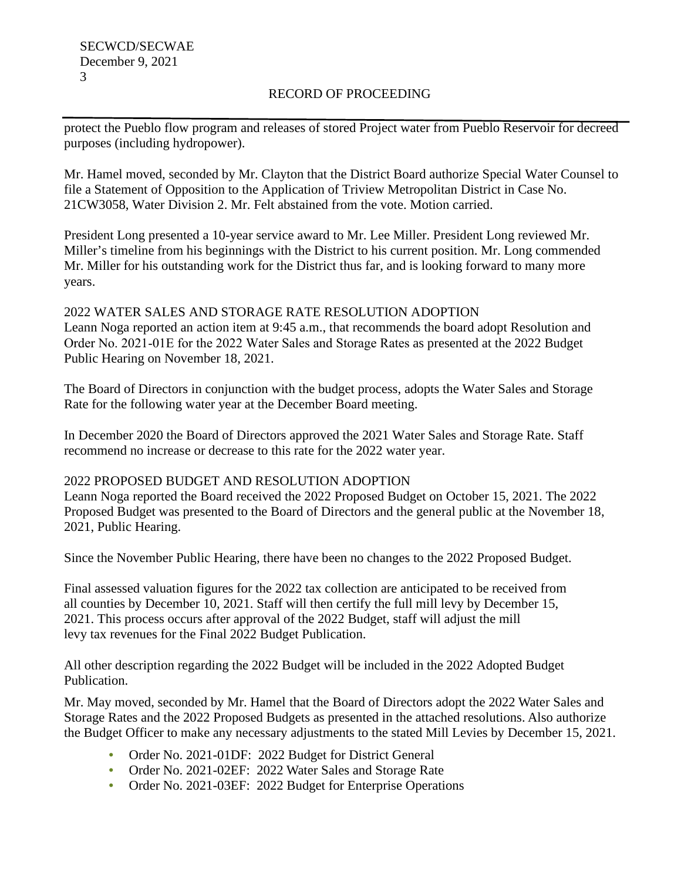# RECORD OF PROCEEDING

protect the Pueblo flow program and releases of stored Project water from Pueblo Reservoir for decreed purposes (including hydropower).

Mr. Hamel moved, seconded by Mr. Clayton that the District Board authorize Special Water Counsel to file a Statement of Opposition to the Application of Triview Metropolitan District in Case No. 21CW3058, Water Division 2. Mr. Felt abstained from the vote. Motion carried.

President Long presented a 10-year service award to Mr. Lee Miller. President Long reviewed Mr. Miller's timeline from his beginnings with the District to his current position. Mr. Long commended Mr. Miller for his outstanding work for the District thus far, and is looking forward to many more years.

2022 WATER SALES AND STORAGE RATE RESOLUTION ADOPTION Leann Noga reported an action item at 9:45 a.m., that recommends the board adopt Resolution and Order No. 2021‐01E for the 2022 Water Sales and Storage Rates as presented at the 2022 Budget Public Hearing on November 18, 2021.

The Board of Directors in conjunction with the budget process, adopts the Water Sales and Storage Rate for the following water year at the December Board meeting.

In December 2020 the Board of Directors approved the 2021 Water Sales and Storage Rate. Staff recommend no increase or decrease to this rate for the 2022 water year.

### 2022 PROPOSED BUDGET AND RESOLUTION ADOPTION

Leann Noga reported the Board received the 2022 Proposed Budget on October 15, 2021. The 2022 Proposed Budget was presented to the Board of Directors and the general public at the November 18, 2021, Public Hearing.

Since the November Public Hearing, there have been no changes to the 2022 Proposed Budget.

Final assessed valuation figures for the 2022 tax collection are anticipated to be received from all counties by December 10, 2021. Staff will then certify the full mill levy by December 15, 2021. This process occurs after approval of the 2022 Budget, staff will adjust the mill levy tax revenues for the Final 2022 Budget Publication.

All other description regarding the 2022 Budget will be included in the 2022 Adopted Budget Publication.

Mr. May moved, seconded by Mr. Hamel that the Board of Directors adopt the 2022 Water Sales and Storage Rates and the 2022 Proposed Budgets as presented in the attached resolutions. Also authorize the Budget Officer to make any necessary adjustments to the stated Mill Levies by December 15, 2021.

- Order No. 2021-01DF: 2022 Budget for District General
- Order No. 2021-02EF: 2022 Water Sales and Storage Rate
- Order No. 2021-03EF: 2022 Budget for Enterprise Operations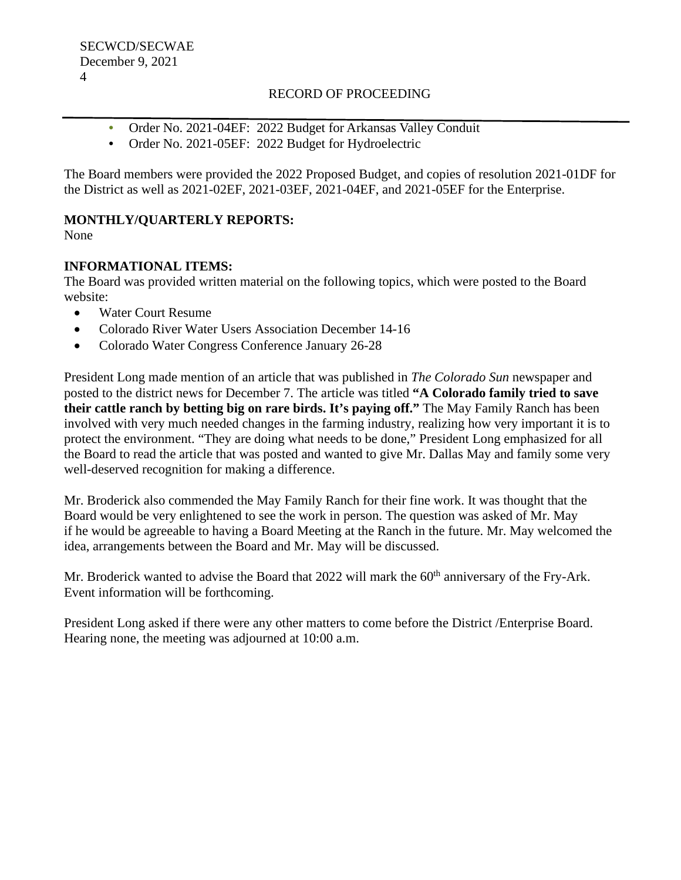# RECORD OF PROCEEDING

- Order No. 2021-04EF: 2022 Budget for Arkansas Valley Conduit
- Order No. 2021-05EF: 2022 Budget for Hydroelectric

The Board members were provided the 2022 Proposed Budget, and copies of resolution 2021-01DF for the District as well as 2021-02EF, 2021-03EF, 2021-04EF, and 2021-05EF for the Enterprise.

# **MONTHLY/QUARTERLY REPORTS:**

None

# **INFORMATIONAL ITEMS:**

The Board was provided written material on the following topics, which were posted to the Board website:

- Water Court Resume
- Colorado River Water Users Association December 14-16
- Colorado Water Congress Conference January 26-28

President Long made mention of an article that was published in *The Colorado Sun* newspaper and posted to the district news for December 7. The article was titled **"A Colorado family tried to save their cattle ranch by betting big on rare birds. It's paying off."** The May Family Ranch has been involved with very much needed changes in the farming industry, realizing how very important it is to protect the environment. "They are doing what needs to be done," President Long emphasized for all the Board to read the article that was posted and wanted to give Mr. Dallas May and family some very well-deserved recognition for making a difference.

Mr. Broderick also commended the May Family Ranch for their fine work. It was thought that the Board would be very enlightened to see the work in person. The question was asked of Mr. May if he would be agreeable to having a Board Meeting at the Ranch in the future. Mr. May welcomed the idea, arrangements between the Board and Mr. May will be discussed.

Mr. Broderick wanted to advise the Board that  $2022$  will mark the  $60<sup>th</sup>$  anniversary of the Fry-Ark. Event information will be forthcoming.

President Long asked if there were any other matters to come before the District /Enterprise Board. Hearing none, the meeting was adjourned at 10:00 a.m.